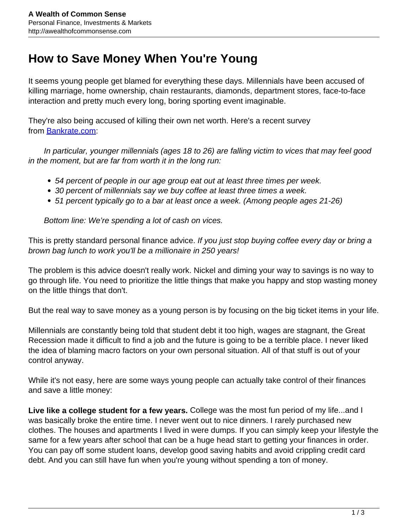## **How to Save Money When You're Young**

It seems young people get blamed for everything these days. Millennials have been accused of killing marriage, home ownership, chain restaurants, diamonds, department stores, face-to-face interaction and pretty much every long, boring sporting event imaginable.

They're also being accused of killing their own net worth. Here's a recent survey from [Bankrate.com:](http://www.bankrate.com/cashlorette/millennials-financial-vices/)

 In particular, younger millennials (ages 18 to 26) are falling victim to vices that may feel good in the moment, but are far from worth it in the long run:

- 54 percent of people in our age group eat out at least three times per week.
- 30 percent of millennials say we buy coffee at least three times a week.
- 51 percent typically go to a bar at least once a week. (Among people ages 21-26)

Bottom line: We're spending a lot of cash on vices.

This is pretty standard personal finance advice. If you just stop buying coffee every day or bring a brown bag lunch to work you'll be a millionaire in 250 years!

The problem is this advice doesn't really work. Nickel and diming your way to savings is no way to go through life. You need to prioritize the little things that make you happy and stop wasting money on the little things that don't.

But the real way to save money as a young person is by focusing on the big ticket items in your life.

Millennials are constantly being told that student debt it too high, wages are stagnant, the Great Recession made it difficult to find a job and the future is going to be a terrible place. I never liked the idea of blaming macro factors on your own personal situation. All of that stuff is out of your control anyway.

While it's not easy, here are some ways young people can actually take control of their finances and save a little money:

**Live like a college student for a few years.** College was the most fun period of my life...and I was basically broke the entire time. I never went out to nice dinners. I rarely purchased new clothes. The houses and apartments I lived in were dumps. If you can simply keep your lifestyle the same for a few years after school that can be a huge head start to getting your finances in order. You can pay off some student loans, develop good saving habits and avoid crippling credit card debt. And you can still have fun when you're young without spending a ton of money.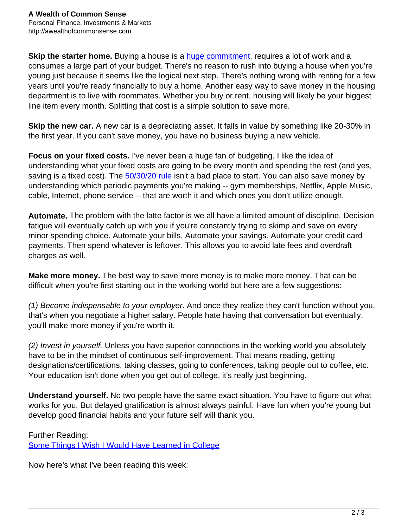**Skip the starter home.** Buying a house is a [huge commitment](http://awealthofcommonsense.com/2016/11/is-a-starter-home-one-of-the-worst-purchases-you-can-make/), requires a lot of work and a consumes a large part of your budget. There's no reason to rush into buying a house when you're young just because it seems like the logical next step. There's nothing wrong with renting for a few years until you're ready financially to buy a home. Another easy way to save money in the housing department is to live with roommates. Whether you buy or rent, housing will likely be your biggest line item every month. Splitting that cost is a simple solution to save more.

**Skip the new car.** A new car is a depreciating asset. It falls in value by something like 20-30% in the first year. If you can't save money, you have no business buying a new vehicle.

**Focus on your fixed costs.** I've never been a huge fan of budgeting. I like the idea of understanding what your fixed costs are going to be every month and spending the rest (and yes, saving is a fixed cost). The [50/30/20 rule](http://awealthofcommonsense.com/2017/02/where-you-live-the-503020-rule/) isn't a bad place to start. You can also save money by understanding which periodic payments you're making -- gym memberships, Netflix, Apple Music, cable, Internet, phone service -- that are worth it and which ones you don't utilize enough.

**Automate.** The problem with the latte factor is we all have a limited amount of discipline. Decision fatigue will eventually catch up with you if you're constantly trying to skimp and save on every minor spending choice. Automate your bills. Automate your savings. Automate your credit card payments. Then spend whatever is leftover. This allows you to avoid late fees and overdraft charges as well.

**Make more money.** The best way to save more money is to make more money. That can be difficult when you're first starting out in the working world but here are a few suggestions:

(1) Become indispensable to your employer. And once they realize they can't function without you, that's when you negotiate a higher salary. People hate having that conversation but eventually, you'll make more money if you're worth it.

(2) Invest in yourself. Unless you have superior connections in the working world you absolutely have to be in the mindset of continuous self-improvement. That means reading, getting designations/certifications, taking classes, going to conferences, taking people out to coffee, etc. Your education isn't done when you get out of college, it's really just beginning.

**Understand yourself.** No two people have the same exact situation. You have to figure out what works for you. But delayed gratification is almost always painful. Have fun when you're young but develop good financial habits and your future self will thank you.

Further Reading: [Some Things I Wish I Would Have Learned in College](http://awealthofcommonsense.com/2017/03/some-things-i-wish-i-would-have-learned-in-college/)

Now here's what I've been reading this week: